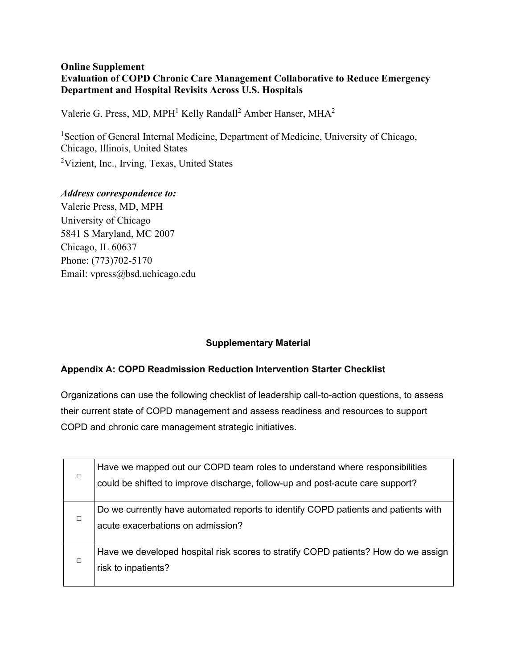### **Online Supplement Evaluation of COPD Chronic Care Management Collaborative to Reduce Emergency Department and Hospital Revisits Across U.S. Hospitals**

Valerie G. Press, MD, MPH<sup>1</sup> Kelly Randall<sup>2</sup> Amber Hanser, MHA<sup>2</sup>

<sup>1</sup>Section of General Internal Medicine, Department of Medicine, University of Chicago, Chicago, Illinois, United States <sup>2</sup>Vizient, Inc., Irving, Texas, United States

# *Address correspondence to:*

Valerie Press, MD, MPH University of Chicago 5841 S Maryland, MC 2007 Chicago, IL 60637 Phone: (773)702-5170 Email: [vpress@bsd.uchicago.edu](mailto:vpress@bsd.uchicago.edu)

## **Supplementary Material**

## **Appendix A: COPD Readmission Reduction Intervention Starter Checklist**

Organizations can use the following checklist of leadership call-to-action questions, to assess their current state of COPD management and assess readiness and resources to support COPD and chronic care management strategic initiatives.

| $\Box$ | Have we mapped out our COPD team roles to understand where responsibilities<br>could be shifted to improve discharge, follow-up and post-acute care support? |
|--------|--------------------------------------------------------------------------------------------------------------------------------------------------------------|
| $\Box$ | Do we currently have automated reports to identify COPD patients and patients with<br>acute exacerbations on admission?                                      |
| □      | Have we developed hospital risk scores to stratify COPD patients? How do we assign<br>risk to inpatients?                                                    |